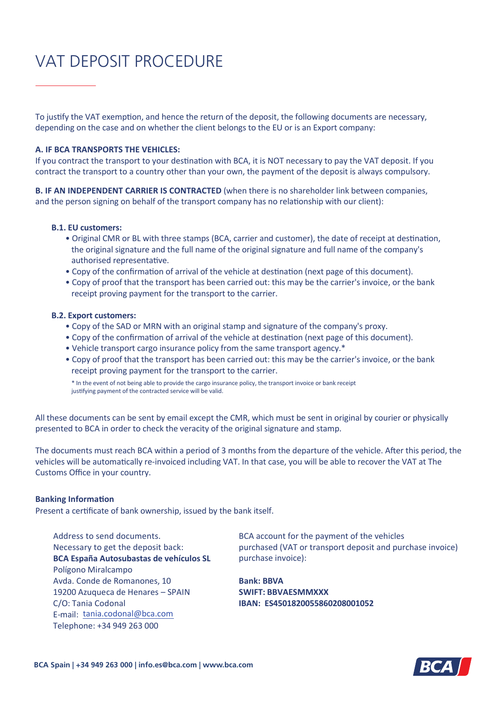# VAT DEPOSIT PROCEDURE

To justify the VAT exemption, and hence the return of the deposit, the following documents are necessary, depending on the case and on whether the client belongs to the EU or is an Export company:

## **A. IF BCA TRANSPORTS THE VEHICLES:**

If you contract the transport to your destination with BCA, it is NOT necessary to pay the VAT deposit. If you contract the transport to a country other than your own, the payment of the deposit is always compulsory.

**B. IF AN INDEPENDENT CARRIER IS CONTRACTED** (when there is no shareholder link between companies, and the person signing on behalf of the transport company has no relationship with our client):

## **B.1. EU customers:**

- Original CMR or BL with three stamps (BCA, carrier and customer), the date of receipt at destination, the original signature and the full name of the original signature and full name of the company's authorised representative.
- Copy of the confirmation of arrival of the vehicle at destination (next page of this document).
- Copy of proof that the transport has been carried out: this may be the carrier's invoice, or the bank receipt proving payment for the transport to the carrier.

#### **B.2. Export customers:**

- Copy of the SAD or MRN with an original stamp and signature of the company's proxy.
- Copy of the confirmation of arrival of the vehicle at destination (next page of this document).
- Vehicle transport cargo insurance policy from the same transport agency.\*
- Copy of proof that the transport has been carried out: this may be the carrier's invoice, or the bank receipt proving payment for the transport to the carrier.

\* In the event of not being able to provide the cargo insurance policy, the transport invoice or bank receipt justifying payment of the contracted service will be valid.

All these documents can be sent by email except the CMR, which must be sent in original by courier or physically presented to BCA in order to check the veracity of the original signature and stamp.

The documents must reach BCA within a period of 3 months from the departure of the vehicle. After this period, the vehicles will be automatically re-invoiced including VAT. In that case, you will be able to recover the VAT at The Customs Office in your country.

### **Banking Information**

Present a certificate of bank ownership, issued by the bank itself.

Address to send documents. Necessary to get the deposit back: **BCA España Autosubastas de vehículos SL** Polígono Miralcampo Avda. Conde de Romanones, 10 19200 Azuqueca de Henares – SPAIN C/O: Tania Codonal E-mail: tania.codonal@bca.com Telephone: +34 949 263 000

BCA account for the payment of the vehicles purchased (VAT or transport deposit and purchase invoice) purchase invoice):

**Bank: BBVA SWIFT: BBVAESMMXXX IBAN: ES4501820055860208001052**